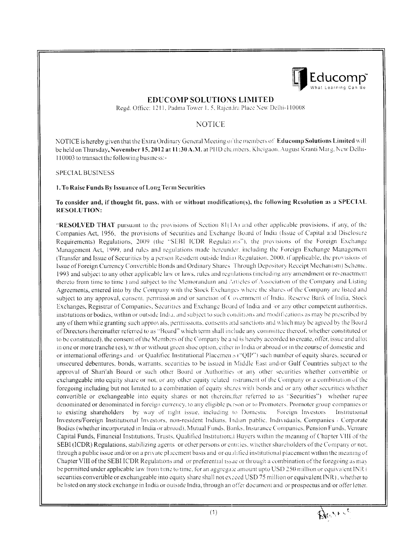

## **EDUCOMP SOLUTIONS LIMITED**

Regd. Office: 1211, Padma Tower 1, 5, Rajendra Place New Delhi-110008

# **NOTICE**

NOTICE is hereby given that the Extra Ordinary General Meeting of the members of Educomp Solutions Limited will be held on Thursday, November 15, 2012 at 11:30 A.M. at PHD chambers, Kheigaon, August Kranti Marg, New Delhi-110003 to transact the following business:-

**SPECIAL BUSINESS** 

#### 1. To Raise Funds By Issuance of Long Term Securities

#### To consider and, if thought fit, pass, with or without modification(s), the following Resolution as a SPECIAL **RESOLUTION:**

"RESOLVED THAT pursuant to the provisions of Section  $81(1A)$  and other applicable provisions, if any, of the Companies Act, 1956, the provisions of Securities and Exchange Board of India (Issue of Capital and Disclosure Requirements) Regulations, 2009 (the 'SEBI ICDR Regulations'), the provisions of the Foreign Exchange Management Act, 1999, and rules and regulations made hereunder, including the Foreign Exchange Management (Transfer and Issue of Securities by a person Resident outside India) Regulation, 2000, if applicable, the provisions of Issue of Foreign Currency Convertible Bonds and Ordinary Shares Through Depository Receipt Mechanism) Scheme. 1993 and subject to any other applicable law or laws, rules and regulations (including any amendment or re-enactment thereto from time to time) and subject to the Memorandum and Articles of Association of the Company and Listing Agreements, entered into by the Company with the Stock Exchanges where the shares of the Company are listed and subject to any approval, consent, permission and/or sanction of Covernment of India, Reserve Bank of India, Stock Exchanges, Registrar of Companies, Securities and Exchange Board of India and for any other competent authorities, institutions or bodies, within or outside India, and subject to such conditions and modifications as may be prescribed by any of them while granting such approvals, permissions, consents and sanctions and which may be agreed by the Board of Directors (hereinafter referred to as "Board" which term shall include any committee thereof, whether constituted or to be constituted), the consent of the Members of the Company be and is hereby accorded to create, offer, issue and allot in one or more tranche (es), with or without green shoe option, either in India or abroad or in the course of domestic and or international offerings and / or Qualified Institutional Placemen.s ("QIP") such number of equity shares, secured or unsecured debentures, bonds, warrants, securities to be issued in Middle East and/or Gulf Countries subject to the approval of Shari'ah Board or such other Board or Authorities or any other securities whether convertible or exchangeable into equity share or not, or any other equity related instrument of the Company or a combination of the foregoing including but not limited to a combination of equity shares with bonds and or any other securities whether convertible or exchangeable into equity shares or not (hereinafter referred to as "Securities") whether rupee denominated or denominated in foreign currency, to any eligible person or to Promoters. Promoter group companies or to existing shareholders by way of right issue, including to Domestic Foreign Investors Institutional Investors/Foreign Institutional Investors, non-resident Indians, Indian public, Individuals, Companies / Corporate Bodies (whether incorporated in India or abroad), Mutual Funds, Banks, Insurance Companies, Pension Funds, Venture Capital Funds, Financial Institutions, Trusts, Qualified Institutional Buyers within the meaning of Chapter VIII of the SEBI (ICDR) Regulations, stabilizing agents or other persons or entities, whether shareholders of the Company or not. through a public issue and/or on a private placement basis and or qualified institutional placement within the meaning of Chapter VIII of the SEBI ICDR Regulations and or preferential issue or through a combination of the foregoing as may be permitted under applicable law from time to time, for an aggregate amount upto USD 250 million or equivalent INR ( securities convertible or exchangeable into equity share shall not exceed USD 75 million or equivalent INR), whether to be listed on any stock exchange in India or outside India, through an offer document and/or prospectus and/or offer letter.

Black it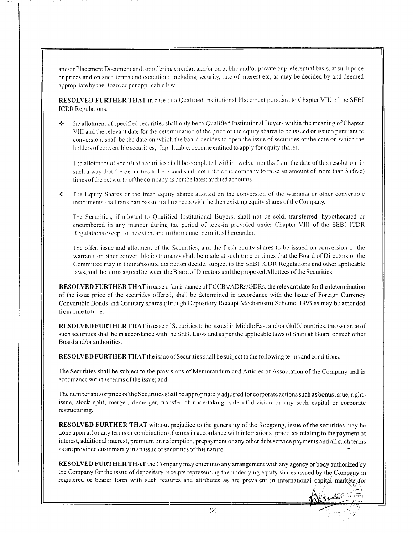and/or Placement Document and /or offering circular, and/or on public and/or private or preferential basis, at such price or prices and on such terms and conditions including security, rate of interest etc, as may be decided by and deemed appropriate by the Board as per applicable law.

RESOLVED FURTHER THAT in case of a Qualified Institutional Placement pursuant to Chapter VIII of the SEBI **ICDR** Regulations,

the allotment of specified securities shall only be to Qualified Institutional Buyers within the meaning of Chapter  $\ddot{\cdot}$ VIII and the relevant date for the determination of the price of the equity shares to be issued or issued pursuant to conversion, shall be the date on which the board decides to open the issue of securities or the date on which the holders of convertible securities, if applicable, become entitled to apply for equity shares.

The allotment of specified securities shall be completed within twelve months from the date of this resolution, in such a way that the Securities to be issued shall not entitle the company to raise an amount of more than 5 (five) times of the net worth of the company as per the latest audited accounts.

÷ The Equity Shares or the fresh equity shares allotted on the conversion of the warrants or other convertible instruments shall rank pari passuan all respects with the then existing equity shares of the Company.

The Securities, if allotted to Qualified Institutional Buyers, shall not be sold, transferred, hypothecated or encumbered in any manner during the period of lock-in provided under Chapter VIII of the SEBI ICDR Regulations except to the extent and in the manner permitted hereunder.

The offer, issue and allotment of the Securities, and the fresh equity shares to be issued on conversion of the warrants or other convertible instruments shall be made at such time or times that the Board of Directors or the Committee may in their absolute discretion decide, subject to the SEBI ICDR Regulations and other applicable laws, and the terms agreed between the Board of Directors and the proposed Allottees of the Securities.

**RESOLVED FURTHER THAT** in case of an issuance of FCCBs/ADRs/GDRs, the relevant date for the determination of the issue price of the securities offered, shall be determined in accordance with the Issue of Foreign Currency Convertible Bonds and Ordinary shares (through Depository Receipt Mechanism) Scheme, 1993 as may be amended from time to time.

RESOLVED FURTHER THAT in case of Securities to be issued in Middle East and/or Gulf Countries, the issuance of such securities shall be in accordance with the SEBI Laws and as per the applicable laws of Shari'ah Board or such other Board and/or authorities.

**RESOLVED FURTHER THAT** the issue of Securities shall be subject to the following terms and conditions:

The Securities shall be subject to the provisions of Memorandum and Articles of Association of the Company and in accordance with the terms of the issue; and

The number and/or price of the Securities shall be appropriately adjusted for corporate actions such as bonus issue, rights issue, stock split, merger, demerger, transfer of undertaking, sale of division or any such capital or corporate restructuring.

**RESOLVED FURTHER THAT** without prejudice to the generality of the foregoing, issue of the securities may be done upon all or any terms or combination of terms in accordance with international practices relating to the payment of interest, additional interest, premium on redemption, prepayment or any other debt service payments and all such terms as are provided customarily in an issue of securities of this nature.

RESOLVED FURTHER THAT the Company may enter into any arrangement with any agency or body authorized by the Company for the issue of depositary receipts representing the underlying equity shares issued by the Company in registered or bearer form with such features and attributes as are prevalent in international capital markets for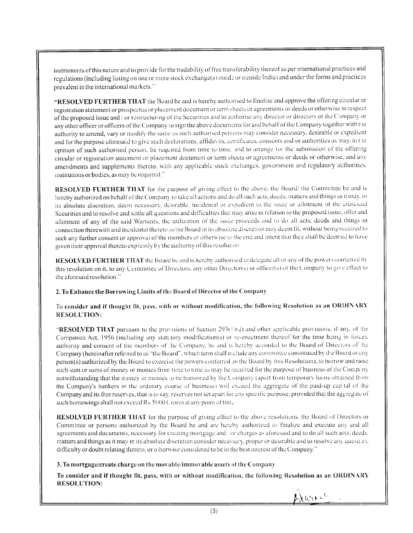instruments of this nature and to provide for the tradability of free transferability thereof as per international practices and regulations (including listing on one or more stock exchange(s) inside or outside India) and under the forms and practices prevalent in the international markets."

"RESOLVED FURTHER THAT the Board be and is hereby authorised to finalise and approve the offering circular or registration statement or prospectus or placement document or term sheets or agreements or deeds or otherwise in respect of the proposed issue and / or restructuring of the Securities and to authorise any director or directors of the Company or any other officer or officers of the Company to sign the above documents for and behalf of the Company together with the authority to amend, vary or modify the same as such authorised persons may consider necessary, desirable or expedient and for the purpose aforesaid to give such declarations, affidavits, certificates, consents and/or authorities as may, in the opinion of such authorised person, be required from time to time, and to arrange for the submission of the offering circular or registration statement or placement document or term sheets or agreements or deeds or otherwise, and any amendments and supplements thereto, with any applicable stock exchanges, government and regulatory authorities, institutions or bodies, as may be required."

RESOLVED FURTHER THAT for the purpose of giving effect to the above, the Board/the Committee be and is hereby authorized on behalf of the Company to take all actions and do all such acts, deeds, matters and things as it may, in its absolute discretion, deem necessary, desirable, incidental or expedient to the issue or allotment of the aforesaid Securities and to resolve and settle all questions and difficulties that may arise in relation to the proposed issue, offer and allotment of any of the said Warrants, the utilization of the issue proceeds and to do all acts, deeds and things in connection therewith and incidental thereto as the Board in its absolute discretion may deem fit, without being required to seek any further consent or approval of the members or otherwise to the end and intent that they shall be deemed to have given their approval thereto expressly by the authority of this resolution.

RESOLVED FURTHER THAT the Board be and is hereby authorised to delegate all or any of the powers conferred by this resolution on it, to any Committee of Directors, any other Director(s) or officer(s) of the Company to give effect to the aforesaid resolution."

### 2. To Enhance the Borrowing Limits of the Board of Director of the Company

#### To consider and if thought fit, pass, with or without modification, the following Resolution as an ORDINARY **RESOLUTION:**

"RESOLVED THAT pursuant to the provisions of Section 293(1)(d) and other applicable provisions, if any, of the Companies Act, 1956 (including any statutory modification(s) or re-enactment thereof for the time being in force). authority and consent of the members of the Company, be and is hereby accorded to the Board of Directors of the Company (hereinafter referred to as "the Board", which term shall melude any committee constituted by the Board or any person(s) authorized by the Board to exercise the powers conferred on the Board by this Resolution), to borrow and raise such sum or sums of money or monies from time to time as may be required for the purpose of business of the Company notwithstanding that the money or monies to be borrowed by the Company (apart from temporary loans obtained from the Company's bankers in the ordinary course of business) will exceed the aggregate of the paid-up capital of the Company and its free reserves, that is to say, reserves not set apart for any specific purpose, provided that the aggregate of such borrowings shall not exceed Rs.5000 C rores at any point of time.

**RESOLVED FURTHER THAT** for the purpose of giving effect to the above resolutions, the Board of Directors or Committee or persons authorized by the Board be and are hereby authorized to finalize and execute any and all agreements and documents, necessary for creating mortgage and or charges as aforesaid and to do all such acts, deeds. matters and things as it may in its absolute discretion consider necessary, proper or desirable and to resolve any question. difficulty or doubt relating thereto, or otherwise considered to be in the best interest of the Company."

### 3. To mortgage/create charge on the movable/immovable assets of the Company

To consider and if thought fit, pass, with or without modification, the following Resolution as an ORDINARY **RESOLUTION:** 

August Ch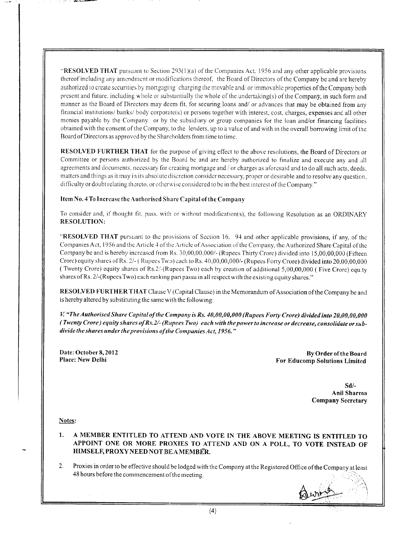"RESOLVED THAT pursuant to Section 293(1)(a) of the Companies Act, 1956 and any other applicable provisions thereof including any amendment or modifications thereof, the Board of Directors of the Company be and are hereby authorized to create securities by mortgaging charging the movable and/or immovable properties of the Company both present and future, including whole or substantially the whole of the undertaking(s) of the Company, in such form and manner as the Board of Directors may deem fit, for securing loans and/ or advances that may be obtained from any financial institutions/banks/body corporate(s) or persons together with interest, cost, charges, expenses and all other monies payable by the Company or by the subsidiary or group companies for the loan and/or financing facilities obtained with the consent of the Company, to the lenders, up to a value of and with in the overall borrowing limit of the Board of Directors as approved by the Shareholders from time to time.

RESOLVED FURTHER THAT for the purpose of giving effect to the above resolutions, the Board of Directors or Committee or persons authorized by the Board be and are hereby authorized to finalize and execute any and all agreements and documents, necessary for creating mortgage and / or charges as aforesaid and to do all such acts, deeds, matters and things as it may in its absolute discretion consider necessary, proper or desirable and to resolve any question, difficulty or doubt relating thereto, or otherwise considered to be in the best interest of the Company."

#### Item No. 4 To Increase the Authorised Share Capital of the Company

To consider and, if thought fit, pass, with or without modification(s), the following Resolution as an ORDINARY **RESOLUTION:** 

"RESOLVED THAT pursuant to the provisions of Section 16, 94 and other applicable provisions, if any, of the Companies Act, 1956 and the Article 4 of the Article of Association of the Company, the Authorized Share Capital of the Company be and is hereby increased from Rs. 30,00,00,000/- (Rupees Thirty Crore) divided into 15,00,00,000 (Fifteen Crore) equity shares of Rs. 2/- (Rupees Two) each to Rs. 40,00,00,000/- (Rupees Forty Crore) divided into 20,00,00,000 (Twenty Crore) equity shares of Rs.2/-(Rupees Two) each by creation of additional 5,00,00,000 (Five Crore) equaty shares of Rs. 2/-(Rupees Two) each ranking pari passu in all respect with the existing equity shares."

RESOLVED FURTHER THAT Clause V (Capital Clause) in the Memorandum of Association of the Company be and is hereby altered by substituting the same with the following:

V. "The Authorised Share Capital of the Company is Rs. 40,00,00,000 (Rupees Forty Crore) divided into 20,00,00,000 (Twenty Crore) equity shares of Rs. 2/- (Rupees Two) each with the power to increase or decrease, consolidate or subdivide the shares under the provisions of the Companies Act, 1956."

Date: October 8, 2012 Place: New Delhi

By Order of the Board For Educomp Solutions Limited

> $Sd/-$ Anil Sharma **Company Secretary**

Notes:

1. A MEMBER ENTITLED TO ATTEND AND VOTE IN THE ABOVE MEETING IS ENTITLED TO APPOINT ONE OR MORE PROXIES TO ATTEND AND ON A POLL, TO VOTE INSTEAD OF HIMSELF, PROXY NEED NOT BE A MEMBER.

 $2.$ Proxies in order to be effective should be lodged with the Company at the Registered Office of the Company at least 48 hours before the commencement of the meeting.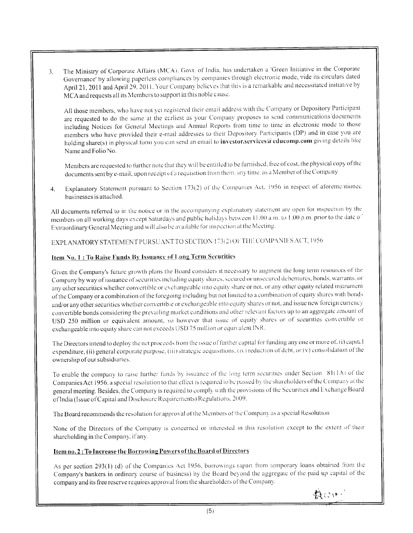The Ministry of Corporate Affairs (MCA), Govt. of India, has undertaken a 'Green Initiative in the Corporate  $3<sub>1</sub>$ Governance' by allowing paperless compliances by companies through electronic mode, vide its circulars dated April 21, 2011 and April 29, 2011. Your Company believes that this is a remarkable and necessitated initiative by MCA and requests all its Members to support in this noble cause.

All those members, who have not yet registered their email address with the Company or Depository Participant are requested to do the same at the earliest as your Company proposes to send communications/documents including Notices for General Meetings and Annual Reports from time to time in electronic mode to those members who have provided their e-mail addresses to their Depository Participants (DP) and in case you are holding share(s) in physical form you can send an email to investor.services@educomp.com giving details like Name and Folio No.

Members are requested to further note that they will be entitled to be furnished, free of cost, the physical copy of the documents sent by e-mail, upon receipt of a requisition from them, any time, as a Member of the Company.

Explanatory Statement pursuant to Section 173(2) of the Companies Act. 1956 in respect of aforementioned  $4.$ businesses is attached.

All documents referred to in the notice or in the accompanying explanatory statement are open for inspection by the members on all working days except Saturdays and public holidays between 11.00 a.m. to 1.00 p.m. prior to the date of Extraordinary General Meeting and will also be available for inspection at the Meeting.

EXPLANATORY STATEMENT PURSUANT TO SECTION 173(2) OF THE COMPANIES ACT, 1956.

## Item No. 1 : To Raise Funds By Issuance of Long Term Securities

Given the Company's future growth plans the Board considers it necessary to augment the long term resources of the Company by way of issuance of securities including equity shares, secured or unsecured debentures, bonds, warrants, or any other securities whether convertible or exchangeable into equity share or not, or any other equity related instrument of the Company or a combination of the foregoing including but not limited to a combination of equity shares with bonds and/or any other securities whether convertible or exchangeable into equity shares or not, and issue new foreign currency convertible bonds considering the prevailing market conditions and other relevant factors up to an aggregate amount of USD 250 million or equivalent amount, so however that issue of equity shares or of securities convertible or exchangeable into equity share can not exceeds USD 75 million or equivalent INR.

The Directors intend to deploy the net proceeds from the issue of further capital for funding any one or more of, (i) capital expenditure, (ii) general corporate purpose, (iii) strategic acquisitions, (iv) reduction of debt, or (v) consolidation of the ownership of our subsidiaries.

To enable the company to raise further funds by issuance of the long term securities under Section 81(1A) of the Companies Act 1956, a special resolution to that effect is required to be passed by the shareholders of the Company at the general meeting. Besides, the Company is required to comply with the provisions of the Securities and Exchange Board of India (Issue of Capital and Disclosure Requirements) Regulations. 2009.

The Board recommends the resolution for approval of the Members of the Company as a special Resolution

None of the Directors of the Company is concerned or interested in this resolution except to the extent of their shareholding in the Company, if any.

# Item no. 2: To Increase the Borrowing Powers of the Board of Directors

As per section 293(1) (d) of the Companies Act 1956, borrowings (apart from temporary loans obtained from the Company's bankers in ordinary course of business) by the Board beyond the aggregate of the paid up capital of the company and its free reserve requires approval from the shareholders of the Company.

DWIN'